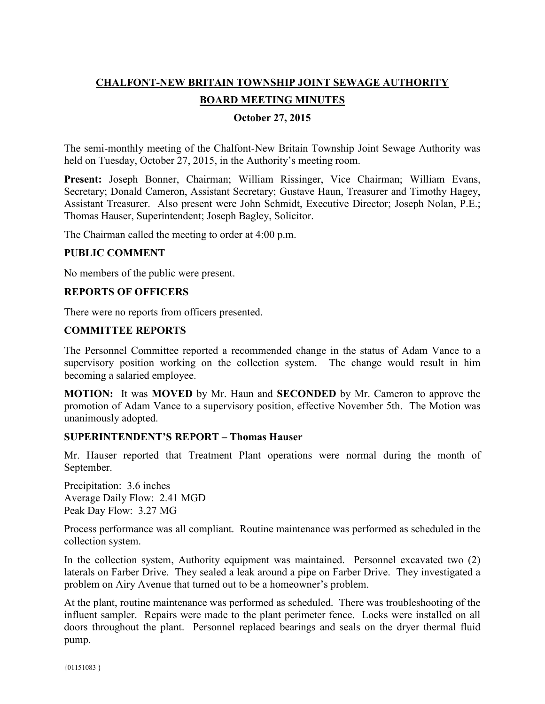# **CHALFONT-NEW BRITAIN TOWNSHIP JOINT SEWAGE AUTHORITY**

# **BOARD MEETING MINUTES**

## **October 27, 2015**

The semi-monthly meeting of the Chalfont-New Britain Township Joint Sewage Authority was held on Tuesday, October 27, 2015, in the Authority's meeting room.

**Present:** Joseph Bonner, Chairman; William Rissinger, Vice Chairman; William Evans, Secretary; Donald Cameron, Assistant Secretary; Gustave Haun, Treasurer and Timothy Hagey, Assistant Treasurer. Also present were John Schmidt, Executive Director; Joseph Nolan, P.E.; Thomas Hauser, Superintendent; Joseph Bagley, Solicitor.

The Chairman called the meeting to order at 4:00 p.m.

#### **PUBLIC COMMENT**

No members of the public were present.

#### **REPORTS OF OFFICERS**

There were no reports from officers presented.

## **COMMITTEE REPORTS**

The Personnel Committee reported a recommended change in the status of Adam Vance to a supervisory position working on the collection system. The change would result in him becoming a salaried employee.

**MOTION:** It was **MOVED** by Mr. Haun and **SECONDED** by Mr. Cameron to approve the promotion of Adam Vance to a supervisory position, effective November 5th. The Motion was unanimously adopted.

#### **SUPERINTENDENT'S REPORT – Thomas Hauser**

Mr. Hauser reported that Treatment Plant operations were normal during the month of September.

Precipitation: 3.6 inches Average Daily Flow: 2.41 MGD Peak Day Flow: 3.27 MG

Process performance was all compliant. Routine maintenance was performed as scheduled in the collection system.

In the collection system, Authority equipment was maintained. Personnel excavated two (2) laterals on Farber Drive. They sealed a leak around a pipe on Farber Drive. They investigated a problem on Airy Avenue that turned out to be a homeowner's problem.

At the plant, routine maintenance was performed as scheduled. There was troubleshooting of the influent sampler. Repairs were made to the plant perimeter fence. Locks were installed on all doors throughout the plant. Personnel replaced bearings and seals on the dryer thermal fluid pump.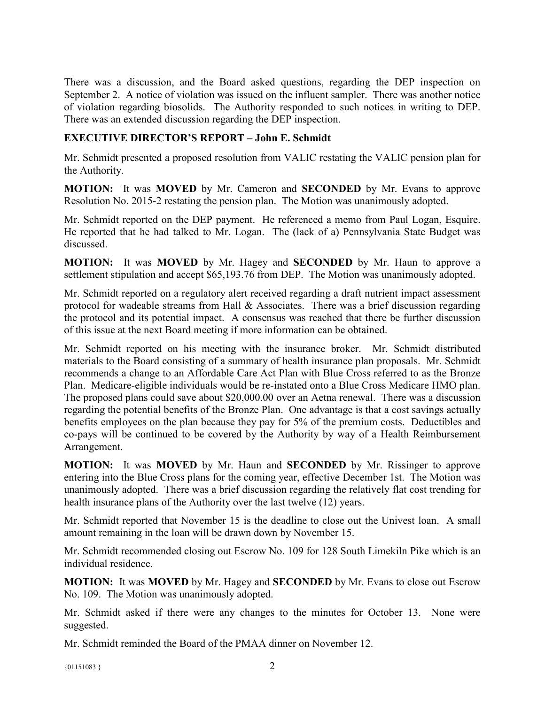There was a discussion, and the Board asked questions, regarding the DEP inspection on September 2. A notice of violation was issued on the influent sampler. There was another notice of violation regarding biosolids. The Authority responded to such notices in writing to DEP. There was an extended discussion regarding the DEP inspection.

# **EXECUTIVE DIRECTOR'S REPORT – John E. Schmidt**

Mr. Schmidt presented a proposed resolution from VALIC restating the VALIC pension plan for the Authority.

**MOTION:** It was **MOVED** by Mr. Cameron and **SECONDED** by Mr. Evans to approve Resolution No. 2015-2 restating the pension plan. The Motion was unanimously adopted.

Mr. Schmidt reported on the DEP payment. He referenced a memo from Paul Logan, Esquire. He reported that he had talked to Mr. Logan. The (lack of a) Pennsylvania State Budget was discussed.

**MOTION:** It was **MOVED** by Mr. Hagey and **SECONDED** by Mr. Haun to approve a settlement stipulation and accept \$65,193.76 from DEP. The Motion was unanimously adopted.

Mr. Schmidt reported on a regulatory alert received regarding a draft nutrient impact assessment protocol for wadeable streams from Hall & Associates. There was a brief discussion regarding the protocol and its potential impact. A consensus was reached that there be further discussion of this issue at the next Board meeting if more information can be obtained.

Mr. Schmidt reported on his meeting with the insurance broker. Mr. Schmidt distributed materials to the Board consisting of a summary of health insurance plan proposals. Mr. Schmidt recommends a change to an Affordable Care Act Plan with Blue Cross referred to as the Bronze Plan. Medicare-eligible individuals would be re-instated onto a Blue Cross Medicare HMO plan. The proposed plans could save about \$20,000.00 over an Aetna renewal. There was a discussion regarding the potential benefits of the Bronze Plan. One advantage is that a cost savings actually benefits employees on the plan because they pay for 5% of the premium costs. Deductibles and co-pays will be continued to be covered by the Authority by way of a Health Reimbursement Arrangement.

**MOTION:** It was **MOVED** by Mr. Haun and **SECONDED** by Mr. Rissinger to approve entering into the Blue Cross plans for the coming year, effective December 1st. The Motion was unanimously adopted. There was a brief discussion regarding the relatively flat cost trending for health insurance plans of the Authority over the last twelve (12) years.

Mr. Schmidt reported that November 15 is the deadline to close out the Univest loan. A small amount remaining in the loan will be drawn down by November 15.

Mr. Schmidt recommended closing out Escrow No. 109 for 128 South Limekiln Pike which is an individual residence.

**MOTION:** It was **MOVED** by Mr. Hagey and **SECONDED** by Mr. Evans to close out Escrow No. 109. The Motion was unanimously adopted.

Mr. Schmidt asked if there were any changes to the minutes for October 13. None were suggested.

Mr. Schmidt reminded the Board of the PMAA dinner on November 12.